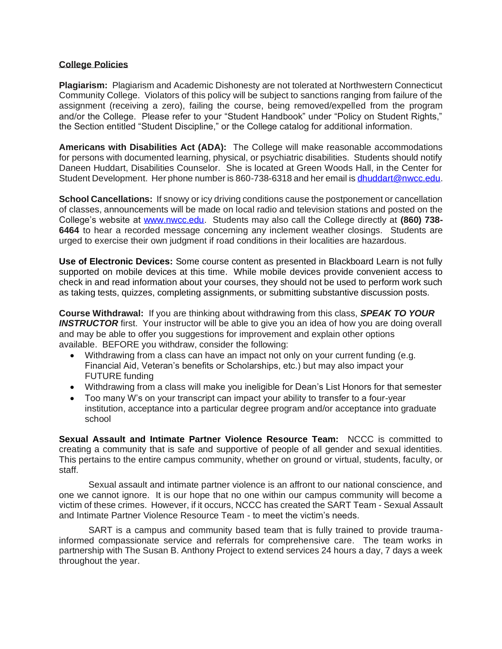## **College Policies**

**Plagiarism:** Plagiarism and Academic Dishonesty are not tolerated at Northwestern Connecticut Community College. Violators of this policy will be subject to sanctions ranging from failure of the assignment (receiving a zero), failing the course, being removed/expelled from the program and/or the College. Please refer to your "Student Handbook" under "Policy on Student Rights," the Section entitled "Student Discipline," or the College catalog for additional information.

**Americans with Disabilities Act (ADA):** The College will make reasonable accommodations for persons with documented learning, physical, or psychiatric disabilities. Students should notify Daneen Huddart, Disabilities Counselor. She is located at Green Woods Hall, in the Center for Student Development. Her phone number is 860-738-6318 and her email is [dhuddart@nwcc.edu.](mailto:dhuddart@nwcc.edu)

**School Cancellations:** If snowy or icy driving conditions cause the postponement or cancellation of classes, announcements will be made on local radio and television stations and posted on the College's website at [www.nwcc.edu.](http://www.nwcc.edu/) Students may also call the College directly at **(860) 738- 6464** to hear a recorded message concerning any inclement weather closings. Students are urged to exercise their own judgment if road conditions in their localities are hazardous.

**Use of Electronic Devices:** Some course content as presented in Blackboard Learn is not fully supported on mobile devices at this time. While mobile devices provide convenient access to check in and read information about your courses, they should not be used to perform work such as taking tests, quizzes, completing assignments, or submitting substantive discussion posts.

**Course Withdrawal:** If you are thinking about withdrawing from this class, *SPEAK TO YOUR*  **INSTRUCTOR** first. Your instructor will be able to give you an idea of how you are doing overall and may be able to offer you suggestions for improvement and explain other options available. BEFORE you withdraw, consider the following:

- Withdrawing from a class can have an impact not only on your current funding (e.g. Financial Aid, Veteran's benefits or Scholarships, etc.) but may also impact your FUTURE funding
- Withdrawing from a class will make you ineligible for Dean's List Honors for that semester
- Too many W's on your transcript can impact your ability to transfer to a four-year institution, acceptance into a particular degree program and/or acceptance into graduate school

**Sexual Assault and Intimate Partner Violence Resource Team:** NCCC is committed to creating a community that is safe and supportive of people of all gender and sexual identities. This pertains to the entire campus community, whether on ground or virtual, students, faculty, or staff.

Sexual assault and intimate partner violence is an affront to our national conscience, and one we cannot ignore. It is our hope that no one within our campus community will become a victim of these crimes. However, if it occurs, NCCC has created the SART Team - Sexual Assault and Intimate Partner Violence Resource Team - to meet the victim's needs.

SART is a campus and community based team that is fully trained to provide traumainformed compassionate service and referrals for comprehensive care. The team works in partnership with The Susan B. Anthony Project to extend services 24 hours a day, 7 days a week throughout the year.